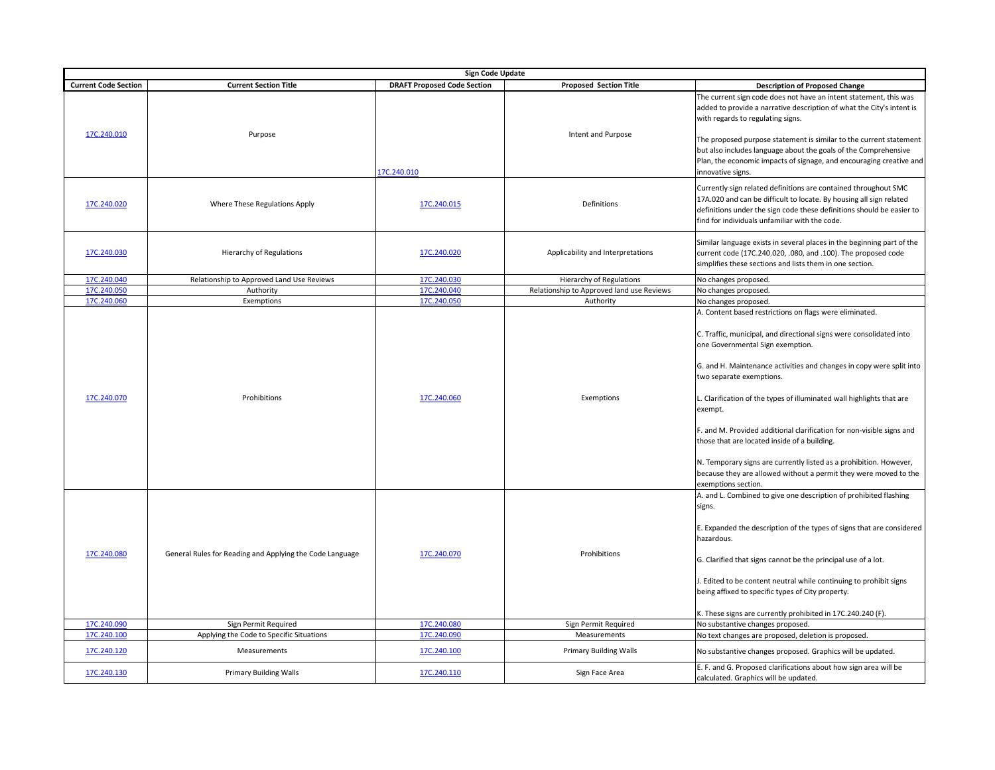|                                           | <b>Sign Code Update</b>                                                                                                      |                                           |                                                      |                                                                                                                                                                                                                                                                                                                                                                                                                                                                                                                                                                                           |  |  |  |  |
|-------------------------------------------|------------------------------------------------------------------------------------------------------------------------------|-------------------------------------------|------------------------------------------------------|-------------------------------------------------------------------------------------------------------------------------------------------------------------------------------------------------------------------------------------------------------------------------------------------------------------------------------------------------------------------------------------------------------------------------------------------------------------------------------------------------------------------------------------------------------------------------------------------|--|--|--|--|
| <b>Current Code Section</b>               | <b>Current Section Title</b>                                                                                                 | <b>DRAFT Proposed Code Section</b>        | <b>Proposed Section Title</b>                        | <b>Description of Proposed Change</b>                                                                                                                                                                                                                                                                                                                                                                                                                                                                                                                                                     |  |  |  |  |
| 17C.240.010                               | Purpose                                                                                                                      | I7C.240.010                               | Intent and Purpose                                   | The current sign code does not have an intent statement, this was<br>added to provide a narrative description of what the City's intent is<br>with regards to regulating signs.<br>The proposed purpose statement is similar to the current statement<br>but also includes language about the goals of the Comprehensive<br>Plan, the economic impacts of signage, and encouraging creative and<br>innovative signs.                                                                                                                                                                      |  |  |  |  |
| 17C.240.020                               | Where These Regulations Apply                                                                                                | 17C.240.015                               | Definitions                                          | Currently sign related definitions are contained throughout SMC<br>17A.020 and can be difficult to locate. By housing all sign related<br>definitions under the sign code these definitions should be easier to<br>find for individuals unfamiliar with the code.                                                                                                                                                                                                                                                                                                                         |  |  |  |  |
| 17C.240.030                               | Hierarchy of Regulations                                                                                                     | 17C.240.020                               | Applicability and Interpretations                    | Similar language exists in several places in the beginning part of the<br>current code (17C.240.020, .080, and .100). The proposed code<br>simplifies these sections and lists them in one section.                                                                                                                                                                                                                                                                                                                                                                                       |  |  |  |  |
| 17C.240.040                               | Relationship to Approved Land Use Reviews                                                                                    | 17C.240.030                               | <b>Hierarchy of Regulations</b>                      | No changes proposed.                                                                                                                                                                                                                                                                                                                                                                                                                                                                                                                                                                      |  |  |  |  |
| 17C.240.050                               | Authority                                                                                                                    | 17C.240.040                               | Relationship to Approved land use Reviews            | No changes proposed.                                                                                                                                                                                                                                                                                                                                                                                                                                                                                                                                                                      |  |  |  |  |
| 17C.240.060                               | Exemptions                                                                                                                   | 17C.240.050                               | Authority                                            | No changes proposed.                                                                                                                                                                                                                                                                                                                                                                                                                                                                                                                                                                      |  |  |  |  |
| 17C.240.070                               | Prohibitions                                                                                                                 | 17C.240.060                               | Exemptions                                           | C. Traffic, municipal, and directional signs were consolidated into<br>one Governmental Sign exemption.<br>G. and H. Maintenance activities and changes in copy were split into<br>two separate exemptions.<br>L. Clarification of the types of illuminated wall highlights that are<br>exempt.<br>F. and M. Provided additional clarification for non-visible signs and<br>those that are located inside of a building.<br>N. Temporary signs are currently listed as a prohibition. However,<br>because they are allowed without a permit they were moved to the<br>exemptions section. |  |  |  |  |
| 17C.240.080<br>17C.240.090<br>17C.240.100 | General Rules for Reading and Applying the Code Language<br>Sign Permit Required<br>Applying the Code to Specific Situations | 17C.240.070<br>17C.240.080<br>17C.240.090 | Prohibitions<br>Sign Permit Required<br>Measurements | A. and L. Combined to give one description of prohibited flashing<br>signs.<br>E. Expanded the description of the types of signs that are considered<br>hazardous.<br>G. Clarified that signs cannot be the principal use of a lot.<br>. Edited to be content neutral while continuing to prohibit signs<br>being affixed to specific types of City property.<br>K. These signs are currently prohibited in 17C.240.240 (F).<br>No substantive changes proposed.<br>No text changes are proposed, deletion is proposed.                                                                   |  |  |  |  |
|                                           |                                                                                                                              |                                           |                                                      |                                                                                                                                                                                                                                                                                                                                                                                                                                                                                                                                                                                           |  |  |  |  |
| 17C.240.120                               | Measurements                                                                                                                 | 17C.240.100                               | <b>Primary Building Walls</b>                        | No substantive changes proposed. Graphics will be updated.                                                                                                                                                                                                                                                                                                                                                                                                                                                                                                                                |  |  |  |  |
| 17C.240.130                               | <b>Primary Building Walls</b>                                                                                                | 17C.240.110                               | Sign Face Area                                       | E. F. and G. Proposed clarifications about how sign area will be<br>calculated. Graphics will be updated.                                                                                                                                                                                                                                                                                                                                                                                                                                                                                 |  |  |  |  |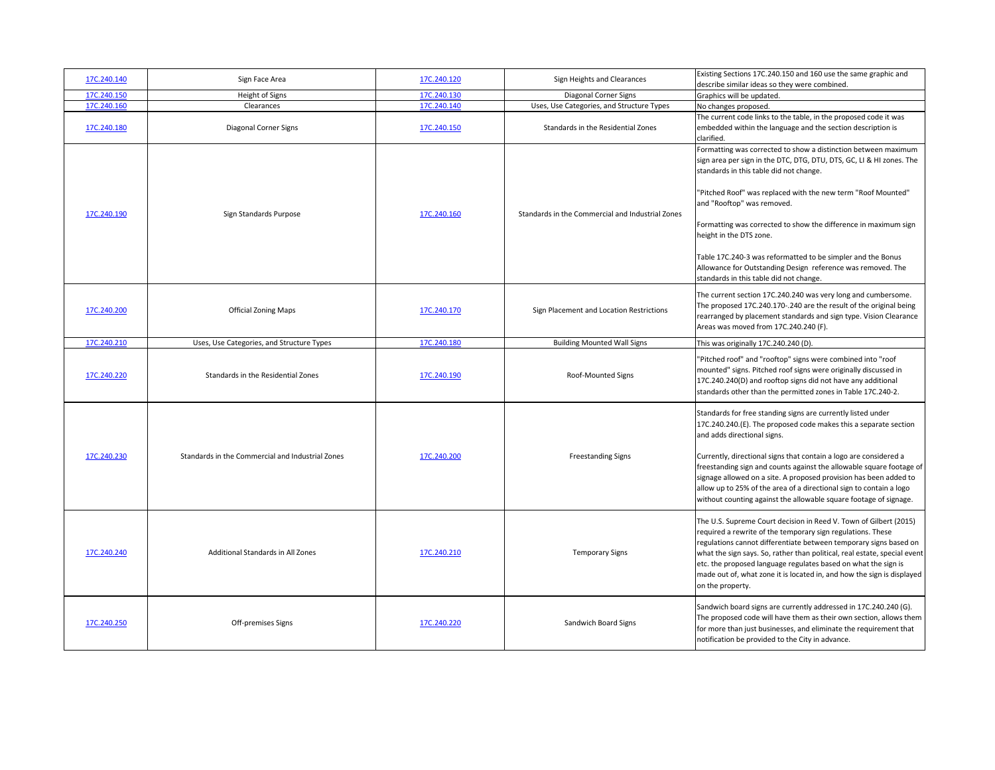| 17C.240.140 | Sign Face Area                                   | 17C.240.120 | Sign Heights and Clearances                      | Existing Sections 17C.240.150 and 160 use the same graphic and<br>describe similar ideas so they were combined.                                                                                                                                                                                                                                                                                                                                                                                                                                        |
|-------------|--------------------------------------------------|-------------|--------------------------------------------------|--------------------------------------------------------------------------------------------------------------------------------------------------------------------------------------------------------------------------------------------------------------------------------------------------------------------------------------------------------------------------------------------------------------------------------------------------------------------------------------------------------------------------------------------------------|
| 17C.240.150 | Height of Signs                                  | 17C.240.130 | Diagonal Corner Signs                            | Graphics will be updated.                                                                                                                                                                                                                                                                                                                                                                                                                                                                                                                              |
| 17C.240.160 | Clearances                                       | 17C.240.140 | Uses, Use Categories, and Structure Types        | No changes proposed.                                                                                                                                                                                                                                                                                                                                                                                                                                                                                                                                   |
| 17C.240.180 | Diagonal Corner Signs                            | 17C.240.150 | Standards in the Residential Zones               | The current code links to the table, in the proposed code it was<br>embedded within the language and the section description is<br>clarified.                                                                                                                                                                                                                                                                                                                                                                                                          |
| 17C.240.190 | Sign Standards Purpose                           | 17C.240.160 | Standards in the Commercial and Industrial Zones | Formatting was corrected to show a distinction between maximum<br>sign area per sign in the DTC, DTG, DTU, DTS, GC, LI & HI zones. The<br>standards in this table did not change.<br>"Pitched Roof" was replaced with the new term "Roof Mounted"<br>and "Rooftop" was removed.<br>Formatting was corrected to show the difference in maximum sign<br>height in the DTS zone.<br>Table 17C.240-3 was reformatted to be simpler and the Bonus<br>Allowance for Outstanding Design reference was removed. The<br>standards in this table did not change. |
| 17C.240.200 | <b>Official Zoning Maps</b>                      | 17C.240.170 | Sign Placement and Location Restrictions         | The current section 17C.240.240 was very long and cumbersome.<br>The proposed 17C.240.170-.240 are the result of the original being<br>rearranged by placement standards and sign type. Vision Clearance<br>Areas was moved from 17C.240.240 (F).                                                                                                                                                                                                                                                                                                      |
| 17C.240.210 | Uses, Use Categories, and Structure Types        | 17C.240.180 | <b>Building Mounted Wall Signs</b>               | This was originally 17C.240.240 (D).                                                                                                                                                                                                                                                                                                                                                                                                                                                                                                                   |
| 17C.240.220 | Standards in the Residential Zones               | 17C.240.190 | Roof-Mounted Signs                               | "Pitched roof" and "rooftop" signs were combined into "roof<br>mounted" signs. Pitched roof signs were originally discussed in<br>17C.240.240(D) and rooftop signs did not have any additional<br>standards other than the permitted zones in Table 17C.240-2.                                                                                                                                                                                                                                                                                         |
| 17C.240.230 | Standards in the Commercial and Industrial Zones | 17C.240.200 | <b>Freestanding Signs</b>                        | Standards for free standing signs are currently listed under<br>17C.240.240.(E). The proposed code makes this a separate section<br>and adds directional signs.<br>Currently, directional signs that contain a logo are considered a<br>freestanding sign and counts against the allowable square footage of<br>signage allowed on a site. A proposed provision has been added to<br>allow up to 25% of the area of a directional sign to contain a logo<br>without counting against the allowable square footage of signage.                          |
| 17C.240.240 | Additional Standards in All Zones                | 17C.240.210 | <b>Temporary Signs</b>                           | The U.S. Supreme Court decision in Reed V. Town of Gilbert (2015)<br>required a rewrite of the temporary sign regulations. These<br>regulations cannot differentiate between temporary signs based on<br>what the sign says. So, rather than political, real estate, special event<br>etc. the proposed language regulates based on what the sign is<br>made out of, what zone it is located in, and how the sign is displayed<br>on the property.                                                                                                     |
| 17C.240.250 | Off-premises Signs                               | 17C.240.220 | Sandwich Board Signs                             | Sandwich board signs are currently addressed in 17C.240.240 (G).<br>The proposed code will have them as their own section, allows them<br>for more than just businesses, and eliminate the requirement that<br>notification be provided to the City in advance.                                                                                                                                                                                                                                                                                        |